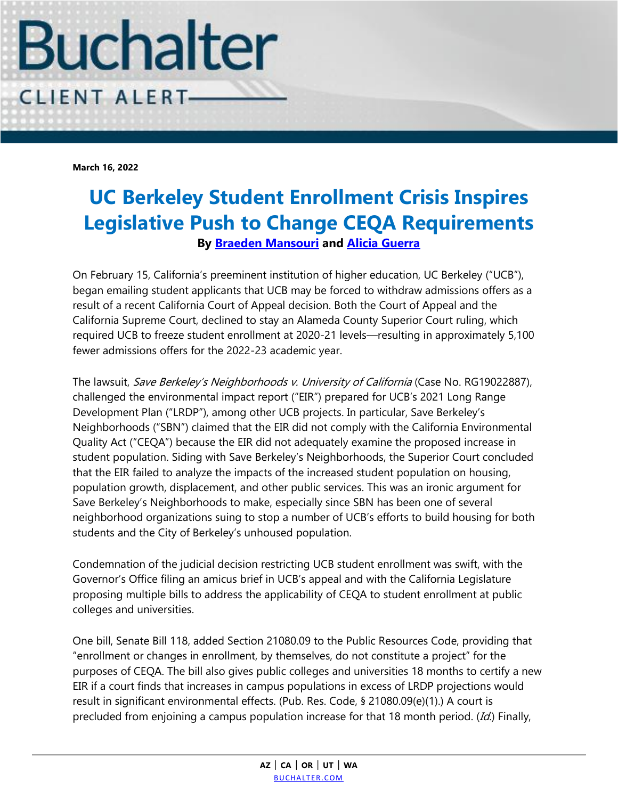

**March 16, 2022**

## **UC Berkeley Student Enrollment Crisis Inspires Legislative Push to Change CEQA Requirements By [Braeden Mansouri](https://www.buchalter.com/attorneys/braeden-j-mansouri/#bio) and [Alicia Guerra](https://www.buchalter.com/attorneys/alicia-guerra/#bio)**

On February 15, California's preeminent institution of higher education, UC Berkeley ("UCB"), began emailing student applicants that UCB may be forced to withdraw admissions offers as a result of a recent California Court of Appeal decision. Both the Court of Appeal and the California Supreme Court, declined to stay an Alameda County Superior Court ruling, which required UCB to freeze student enrollment at 2020-21 levels—resulting in approximately 5,100 fewer admissions offers for the 2022-23 academic year.

The lawsuit, Save Berkeley's Neighborhoods v. University of California (Case No. RG19022887), challenged the environmental impact report ("EIR") prepared for UCB's 2021 Long Range Development Plan ("LRDP"), among other UCB projects. In particular, Save Berkeley's Neighborhoods ("SBN") claimed that the EIR did not comply with the California Environmental Quality Act ("CEQA") because the EIR did not adequately examine the proposed increase in student population. Siding with Save Berkeley's Neighborhoods, the Superior Court concluded that the EIR failed to analyze the impacts of the increased student population on housing, population growth, displacement, and other public services. This was an ironic argument for Save Berkeley's Neighborhoods to make, especially since SBN has been one of several neighborhood organizations suing to stop a number of UCB's efforts to build housing for both students and the City of Berkeley's unhoused population.

Condemnation of the judicial decision restricting UCB student enrollment was swift, with the Governor's Office filing an amicus brief in UCB's appeal and with the California Legislature proposing multiple bills to address the applicability of CEQA to student enrollment at public colleges and universities.

One bill, Senate Bill 118, added Section 21080.09 to the Public Resources Code, providing that "enrollment or changes in enrollment, by themselves, do not constitute a project" for the purposes of CEQA. The bill also gives public colleges and universities 18 months to certify a new EIR if a court finds that increases in campus populations in excess of LRDP projections would result in significant environmental effects. (Pub. Res. Code, § 21080.09(e)(1).) A court is precluded from enjoining a campus population increase for that 18 month period. (Id.) Finally,